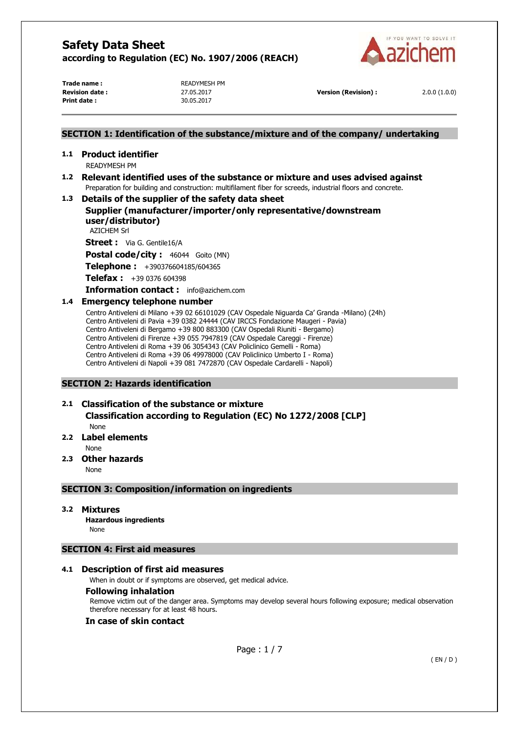

Trade name : **READYMESH PM Print date :** 30.05.2017

**Revision date :** 27.05.2017 **Version (Revision) :** 2.0.0 (1.0.0)

## **SECTION 1: Identification of the substance/mixture and of the company/ undertaking**

# **1.1 Product identifier**

READYMESH PM

## **1.2 Relevant identified uses of the substance or mixture and uses advised against**  Preparation for building and construction: multifilament fiber for screeds, industrial floors and concrete.

## **1.3 Details of the supplier of the safety data sheet**

# **Supplier (manufacturer/importer/only representative/downstream user/distributor)**

AZICHEM Srl

**Street :** Via G. Gentile16/A

Postal code/city : 46044 Goito (MN)

**Telephone :** +390376604185/604365

**Telefax :** +39 0376 604398

#### **Information contact :** info@azichem.com

## **1.4 Emergency telephone number**

Centro Antiveleni di Milano +39 02 66101029 (CAV Ospedale Niguarda Ca' Granda -Milano) (24h) Centro Antiveleni di Pavia +39 0382 24444 (CAV IRCCS Fondazione Maugeri - Pavia) Centro Antiveleni di Bergamo +39 800 883300 (CAV Ospedali Riuniti - Bergamo) Centro Antiveleni di Firenze +39 055 7947819 (CAV Ospedale Careggi - Firenze) Centro Antiveleni di Roma +39 06 3054343 (CAV Policlinico Gemelli - Roma) Centro Antiveleni di Roma +39 06 49978000 (CAV Policlinico Umberto I - Roma) Centro Antiveleni di Napoli +39 081 7472870 (CAV Ospedale Cardarelli - Napoli)

## **SECTION 2: Hazards identification**

# **2.1 Classification of the substance or mixture**

**Classification according to Regulation (EC) No 1272/2008 [CLP]** 

None

# **2.2 Label elements**

None

## **2.3 Other hazards**

None

## **SECTION 3: Composition/information on ingredients**

## **3.2 Mixtures**

**Hazardous ingredients** None

## **SECTION 4: First aid measures**

## **4.1 Description of first aid measures**

When in doubt or if symptoms are observed, get medical advice.

## **Following inhalation**

Remove victim out of the danger area. Symptoms may develop several hours following exposure; medical observation therefore necessary for at least 48 hours.

## **In case of skin contact**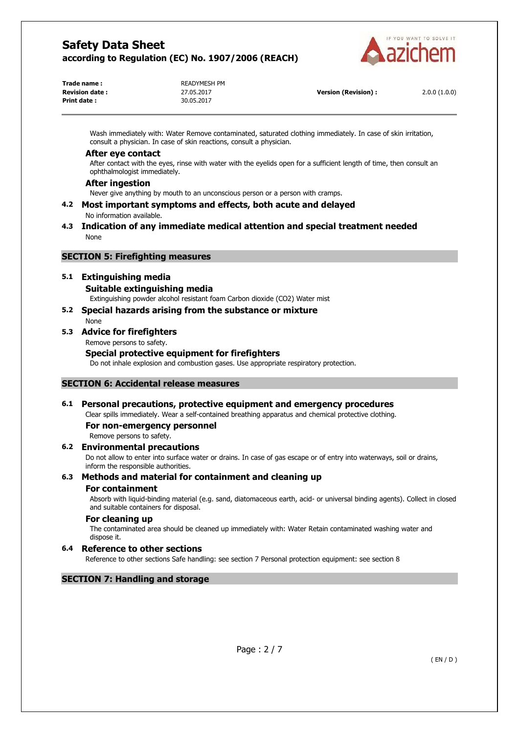

| Trade name :           | READYMESH PM |
|------------------------|--------------|
| <b>Revision date :</b> | 27.05.2017   |
| Print date :           | 30.05.2017   |
|                        |              |

**Version (Revision) :** 2.0.0 (1.0.0)

Wash immediately with: Water Remove contaminated, saturated clothing immediately. In case of skin irritation, consult a physician. In case of skin reactions, consult a physician.

#### **After eye contact**

After contact with the eyes, rinse with water with the eyelids open for a sufficient length of time, then consult an ophthalmologist immediately.

#### **After ingestion**

Never give anything by mouth to an unconscious person or a person with cramps.

**4.2 Most important symptoms and effects, both acute and delayed**  No information available.

#### **4.3 Indication of any immediate medical attention and special treatment needed**  None

## **SECTION 5: Firefighting measures**

## **5.1 Extinguishing media**

#### **Suitable extinguishing media**

Extinguishing powder alcohol resistant foam Carbon dioxide (CO2) Water mist

#### **5.2 Special hazards arising from the substance or mixture**  None

# **5.3 Advice for firefighters**

Remove persons to safety.

## **Special protective equipment for firefighters**

Do not inhale explosion and combustion gases. Use appropriate respiratory protection.

## **SECTION 6: Accidental release measures**

## **6.1 Personal precautions, protective equipment and emergency procedures**

Clear spills immediately. Wear a self-contained breathing apparatus and chemical protective clothing.

**For non-emergency personnel** 

Remove persons to safety.

## **6.2 Environmental precautions**

Do not allow to enter into surface water or drains. In case of gas escape or of entry into waterways, soil or drains, inform the responsible authorities.

## **6.3 Methods and material for containment and cleaning up**

## **For containment**

Absorb with liquid-binding material (e.g. sand, diatomaceous earth, acid- or universal binding agents). Collect in closed and suitable containers for disposal.

## **For cleaning up**

The contaminated area should be cleaned up immediately with: Water Retain contaminated washing water and dispose it.

## **6.4 Reference to other sections**

Reference to other sections Safe handling: see section 7 Personal protection equipment: see section 8

## **SECTION 7: Handling and storage**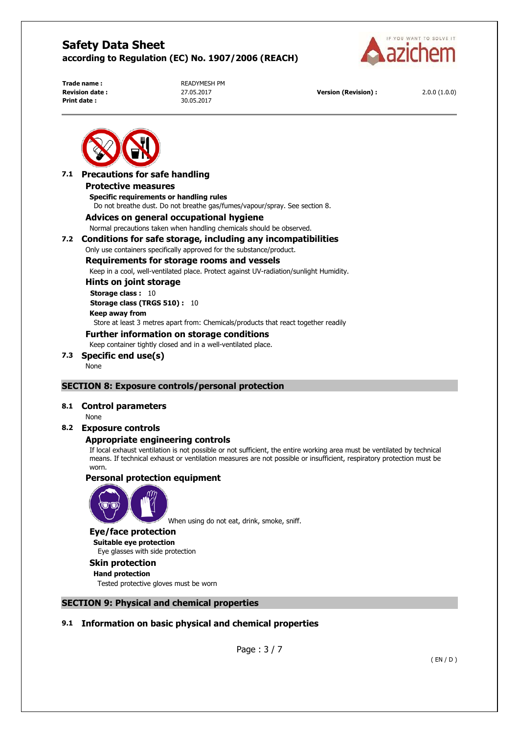

**Print date :** 30.05.2017

**Trade name : READYMESH PM** 

**Revision date :** 27.05.2017 **Version (Revision) :** 2.0.0 (1.0.0)



## **7.1 Precautions for safe handling Protective measures Specific requirements or handling rules**

Do not breathe dust. Do not breathe gas/fumes/vapour/spray. See section 8.

## **Advices on general occupational hygiene**

Normal precautions taken when handling chemicals should be observed.

## **7.2 Conditions for safe storage, including any incompatibilities**

Only use containers specifically approved for the substance/product.

## **Requirements for storage rooms and vessels**

Keep in a cool, well-ventilated place. Protect against UV-radiation/sunlight Humidity.

## **Hints on joint storage**

**Storage class :** 10 **Storage class (TRGS 510) :** 10 **Keep away from**  Store at least 3 metres apart from: Chemicals/products that react together readily

# **Further information on storage conditions**

Keep container tightly closed and in a well-ventilated place.

# **7.3 Specific end use(s)**

None

## **SECTION 8: Exposure controls/personal protection**

## **8.1 Control parameters**

None

## **8.2 Exposure controls**

## **Appropriate engineering controls**

If local exhaust ventilation is not possible or not sufficient, the entire working area must be ventilated by technical means. If technical exhaust or ventilation measures are not possible or insufficient, respiratory protection must be worn.

## **Personal protection equipment**



When using do not eat, drink, smoke, sniff.

#### **Eye/face protection**

**Suitable eye protection**  Eye glasses with side protection

## **Skin protection**

**Hand protection**  Tested protective gloves must be worn

## **SECTION 9: Physical and chemical properties**

## **9.1 Information on basic physical and chemical properties**

Page : 3 / 7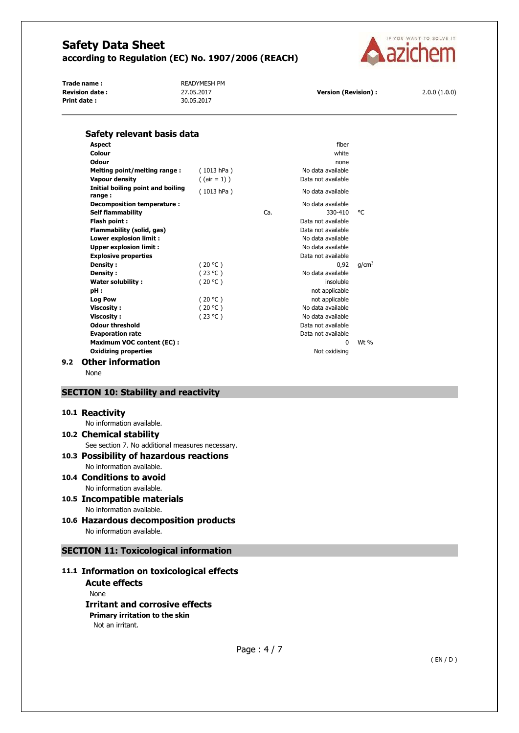

Trade name : **ALCOUNT A READYMESH PM Revision date :** 27.05.2017 **Version (Revision) :** 2.0.0 (1.0.0)<br>**Print date :** 2.0.0 (1.0.0) 30.05.2017 **Print date :** 



| Safety relevant basis data                  |                 |     |                    |                   |
|---------------------------------------------|-----------------|-----|--------------------|-------------------|
| <b>Aspect</b>                               |                 |     | fiber              |                   |
| Colour                                      |                 |     | white              |                   |
| Odour                                       |                 |     | none               |                   |
| Melting point/melting range:                | (1013 hPa)      |     | No data available  |                   |
| Vapour density                              | $($ (air = 1) ) |     | Data not available |                   |
| Initial boiling point and boiling<br>range: | (1013 hPa)      |     | No data available  |                   |
| Decomposition temperature :                 |                 |     | No data available  |                   |
| <b>Self flammability</b>                    |                 | Ca. | 330-410            | °C                |
| Flash point:                                |                 |     | Data not available |                   |
| Flammability (solid, gas)                   |                 |     | Data not available |                   |
| Lower explosion limit :                     |                 |     | No data available  |                   |
| <b>Upper explosion limit:</b>               |                 |     | No data available  |                   |
| <b>Explosive properties</b>                 |                 |     | Data not available |                   |
| Density:                                    | (20 °C)         |     | 0.92               | q/cm <sup>3</sup> |
| Density:                                    | (23 °C)         |     | No data available  |                   |
| <b>Water solubility:</b>                    | (20 °C)         |     | insoluble          |                   |
| pH:                                         |                 |     | not applicable     |                   |
| <b>Log Pow</b>                              | (20 °C)         |     | not applicable     |                   |
| <b>Viscosity:</b>                           | (20 °C)         |     | No data available  |                   |
| <b>Viscosity:</b>                           | (23 °C)         |     | No data available  |                   |
| <b>Odour threshold</b>                      |                 |     | Data not available |                   |
| <b>Evaporation rate</b>                     |                 |     | Data not available |                   |
| <b>Maximum VOC content (EC):</b>            |                 |     | <sup>0</sup>       | $Wt$ %            |
| <b>Oxidizing properties</b>                 |                 |     | Not oxidising      |                   |
| <b>Other information</b>                    |                 |     |                    |                   |

None

## **SECTION 10: Stability and reactivity**

#### **10.1 Reactivity**

No information available.

# **10.2 Chemical stability**

See section 7. No additional measures necessary.

#### **10.3 Possibility of hazardous reactions**  No information available.

- **10.4 Conditions to avoid**  No information available.
- **10.5 Incompatible materials**  No information available.
- **10.6 Hazardous decomposition products**  No information available.

# **SECTION 11: Toxicological information**

## **11.1 Information on toxicological effects**

**Acute effects**  None **Irritant and corrosive effects Primary irritation to the skin**  Not an irritant.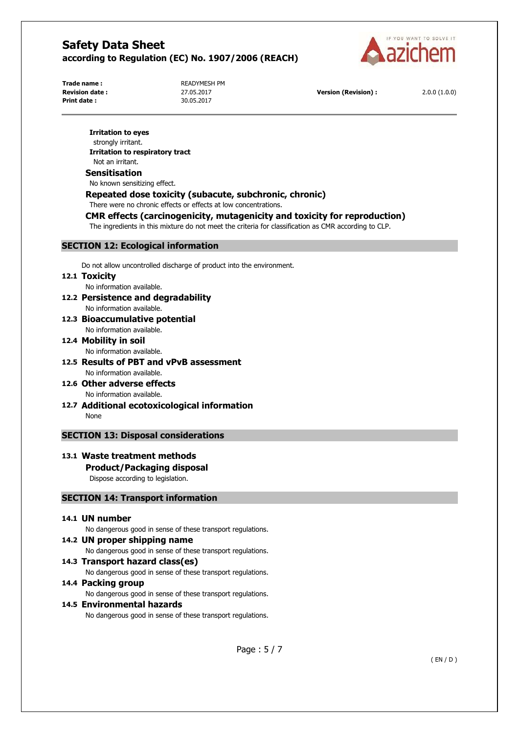

**Print date :** 30.05.2017

**Trade name : READYMESH PM** 

**Revision date :** 27.05.2017 **Version (Revision) :** 2.0.0 (1.0.0)

#### **Irritation to eyes**

strongly irritant. **Irritation to respiratory tract**  Not an irritant.

#### **Sensitisation**

No known sensitizing effect.

## **Repeated dose toxicity (subacute, subchronic, chronic)**

There were no chronic effects or effects at low concentrations.

## **CMR effects (carcinogenicity, mutagenicity and toxicity for reproduction)**

The ingredients in this mixture do not meet the criteria for classification as CMR according to CLP.

## **SECTION 12: Ecological information**

Do not allow uncontrolled discharge of product into the environment.

## **12.1 Toxicity**

No information available.

- **12.2 Persistence and degradability**  No information available.
- **12.3 Bioaccumulative potential**  No information available.
- **12.4 Mobility in soil**  No information available.
- **12.5 Results of PBT and vPvB assessment**  No information available.
- **12.6 Other adverse effects**  No information available.
- **12.7 Additional ecotoxicological information**  None

## **SECTION 13: Disposal considerations**

# **13.1 Waste treatment methods**

# **Product/Packaging disposal**

Dispose according to legislation.

## **SECTION 14: Transport information**

## **14.1 UN number**

No dangerous good in sense of these transport regulations.

## **14.2 UN proper shipping name**

No dangerous good in sense of these transport regulations.

## **14.3 Transport hazard class(es)**

No dangerous good in sense of these transport regulations.

#### **14.4 Packing group**

No dangerous good in sense of these transport regulations.

## **14.5 Environmental hazards**

No dangerous good in sense of these transport regulations.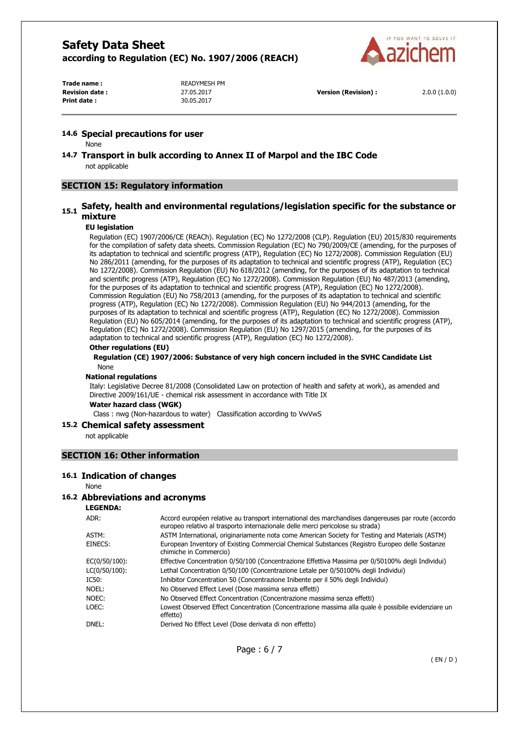

Trade name : **READYMESH PM Print date :** 30.05.2017

**Revision date :** 27.05.2017 **Version (Revision) :** 2.0.0 (1.0.0)

#### **14.6 Special precautions for user**

None

**14.7 Transport in bulk according to Annex II of Marpol and the IBC Code**  not applicable

## **SECTION 15: Regulatory information**

# **15.1 Safety, health and environmental regulations/legislation specific for the substance or mixture**

#### **EU legislation**

Regulation (EC) 1907/2006/CE (REACh). Regulation (EC) No 1272/2008 (CLP). Regulation (EU) 2015/830 requirements for the compilation of safety data sheets. Commission Regulation (EC) No 790/2009/CE (amending, for the purposes of its adaptation to technical and scientific progress (ATP), Regulation (EC) No 1272/2008). Commission Regulation (EU) No 286/2011 (amending, for the purposes of its adaptation to technical and scientific progress (ATP), Regulation (EC) No 1272/2008). Commission Regulation (EU) No 618/2012 (amending, for the purposes of its adaptation to technical and scientific progress (ATP), Regulation (EC) No 1272/2008). Commission Regulation (EU) No 487/2013 (amending, for the purposes of its adaptation to technical and scientific progress (ATP), Regulation (EC) No 1272/2008). Commission Regulation (EU) No 758/2013 (amending, for the purposes of its adaptation to technical and scientific progress (ATP), Regulation (EC) No 1272/2008). Commission Regulation (EU) No 944/2013 (amending, for the purposes of its adaptation to technical and scientific progress (ATP), Regulation (EC) No 1272/2008). Commission Regulation (EU) No 605/2014 (amending, for the purposes of its adaptation to technical and scientific progress (ATP), Regulation (EC) No 1272/2008). Commission Regulation (EU) No 1297/2015 (amending, for the purposes of its adaptation to technical and scientific progress (ATP), Regulation (EC) No 1272/2008).

#### **Other regulations (EU)**

**Regulation (CE) 1907/2006: Substance of very high concern included in the SVHC Candidate List**  None

#### **National regulations**

Italy: Legislative Decree 81/2008 (Consolidated Law on protection of health and safety at work), as amended and Directive 2009/161/UE - chemical risk assessment in accordance with Title IX

#### **Water hazard class (WGK)**

Class : nwg (Non-hazardous to water) Classification according to VwVwS

#### **15.2 Chemical safety assessment**

not applicable

#### **SECTION 16: Other information**

#### **16.1 Indication of changes**

None

#### **16.2 Abbreviations and acronyms**

**LEGENDA:**

| ADR:          | Accord européen relative au transport international des marchandises dangereuses par route (accordo<br>europeo relativo al trasporto internazionale delle merci pericolose su strada) |
|---------------|---------------------------------------------------------------------------------------------------------------------------------------------------------------------------------------|
| ASTM:         | ASTM International, originariamente nota come American Society for Testing and Materials (ASTM)                                                                                       |
| EINECS:       | European Inventory of Existing Commercial Chemical Substances (Registro Europeo delle Sostanze<br>chimiche in Commercio)                                                              |
| EC(0/50/100): | Effective Concentration 0/50/100 (Concentrazione Effettiva Massima per 0/50100% degli Individui)                                                                                      |
| LC(0/50/100): | Lethal Concentration 0/50/100 (Concentrazione Letale per 0/50100% degli Individui)                                                                                                    |
| IC50:         | Inhibitor Concentration 50 (Concentrazione Inibente per il 50% degli Individui)                                                                                                       |
| Noel:         | No Observed Effect Level (Dose massima senza effetti)                                                                                                                                 |
| NOEC:         | No Observed Effect Concentration (Concentrazione massima senza effetti)                                                                                                               |
| LOEC:         | Lowest Observed Effect Concentration (Concentrazione massima alla quale è possibile evidenziare un<br>effetto)                                                                        |
| DNEL:         | Derived No Effect Level (Dose derivata di non effetto)                                                                                                                                |
|               |                                                                                                                                                                                       |